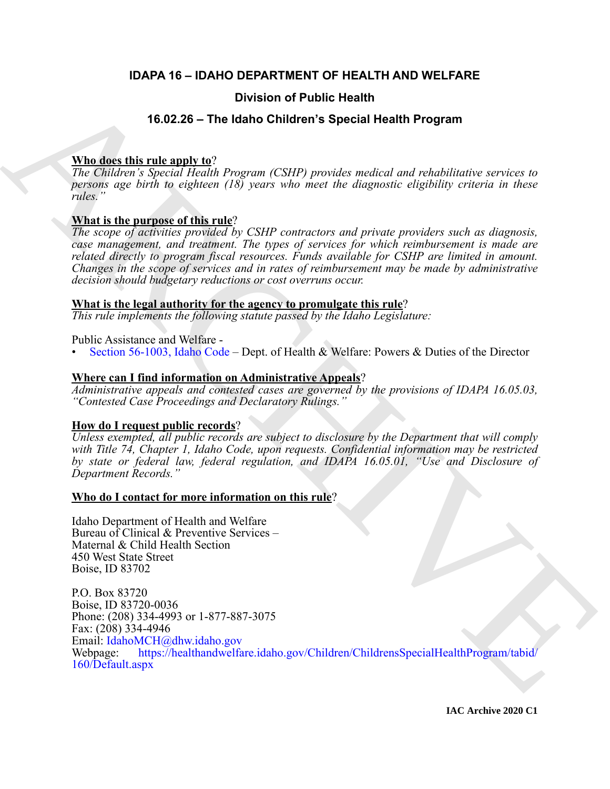# **IDAPA 16 – IDAHO DEPARTMENT OF HEALTH AND WELFARE**

# **Division of Public Health**

# **16.02.26 – The Idaho Children's Special Health Program**

# **Who does this rule apply to**?

*The Children's Special Health Program (CSHP) provides medical and rehabilitative services to persons age birth to eighteen (18) years who meet the diagnostic eligibility criteria in these rules."*

# **What is the purpose of this rule**?

*The scope of activities provided by CSHP contractors and private providers such as diagnosis, case management, and treatment. The types of services for which reimbursement is made are related directly to program fiscal resources. Funds available for CSHP are limited in amount. Changes in the scope of services and in rates of reimbursement may be made by administrative decision should budgetary reductions or cost overruns occur.*

# **What is the legal authority for the agency to promulgate this rule**?

*This rule implements the following statute passed by the Idaho Legislature:*

# Public Assistance and Welfare -

• Section 56-1003, Idaho Code – Dept. of Health & Welfare: Powers & Duties of the Director

# **Where can I find information on Administrative Appeals**?

*Administrative appeals and contested cases are governed by the provisions of IDAPA 16.05.03, "Contested Case Proceedings and Declaratory Rulings."*

# **How do I request public records**?

*Unless exempted, all public records are subject to disclosure by the Department that will comply with Title 74, Chapter 1, Idaho Code, upon requests. Confidential information may be restricted by state or federal law, federal regulation, and IDAPA 16.05.01, "Use and Disclosure of Department Records."*

# **Who do I contact for more information on this rule**?

Idaho Department of Health and Welfare Bureau of Clinical & Preventive Services – Maternal & Child Health Section 450 West State Street Boise, ID 83702

**Broad details and the [C](https://legislature.idaho.gov/statutesrules/idstat/Title56/T56CH10/SECT56-1003/)ase of Public Health**<br> **ARCHIV[E](mailto:IdahoMCH@dhw.idaho.gov) CONDUCT TEAM (ACTION** CONDUCT) The Control of the Control of the Control of the Control of the Control of the Control of the Control of the Control of the Control of P.O. Box 83720 Boise, ID 83720-0036 Phone: (208) 334-4993 or 1-877-887-3075 Fax: (208) 334-4946 Email: IdahoMCH@dhw.idaho.gov Webpage: https://healthandwelfare.idaho.gov/Children/ChildrensSpecialHealthProgram/tabid/ 160/Default.aspx

**IAC Archive 2020 C1**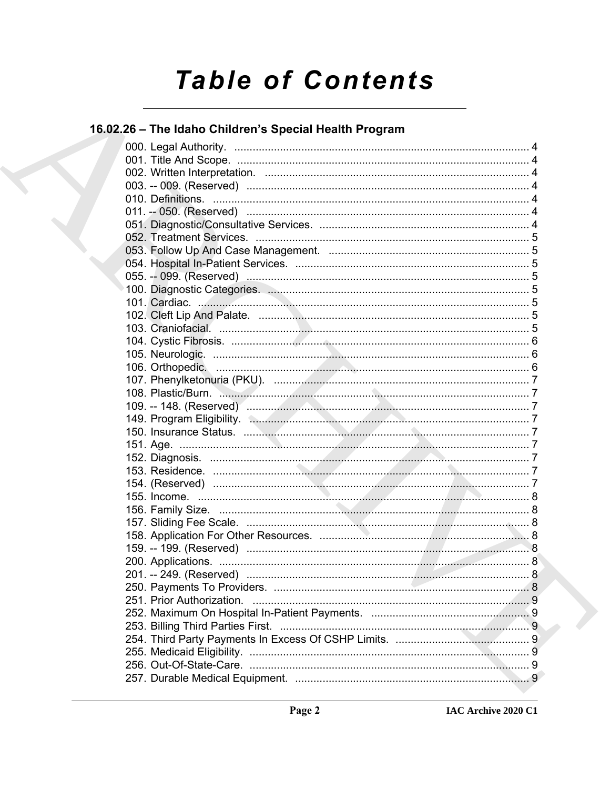# **Table of Contents**

# 16.02.26 - The Idaho Children's Special Health Program

| 149. Program Eligibility. (2008). 2009. The Contract of Table 149. Program Eligibility. |    |
|-----------------------------------------------------------------------------------------|----|
|                                                                                         |    |
|                                                                                         |    |
|                                                                                         |    |
|                                                                                         |    |
|                                                                                         |    |
|                                                                                         |    |
|                                                                                         |    |
|                                                                                         |    |
|                                                                                         |    |
|                                                                                         |    |
|                                                                                         |    |
|                                                                                         |    |
|                                                                                         | .8 |
|                                                                                         |    |
|                                                                                         |    |
|                                                                                         |    |
|                                                                                         |    |
|                                                                                         |    |
|                                                                                         |    |
|                                                                                         |    |
|                                                                                         |    |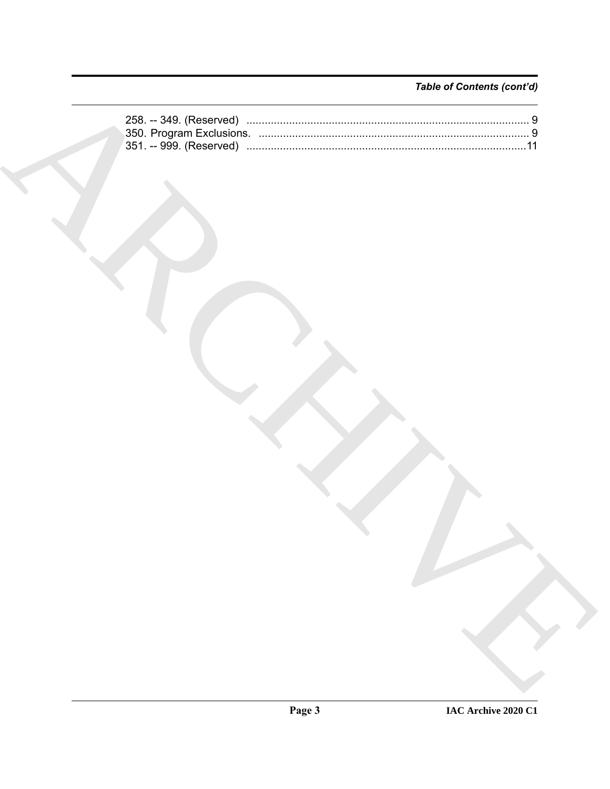# Table of Contents (cont'd)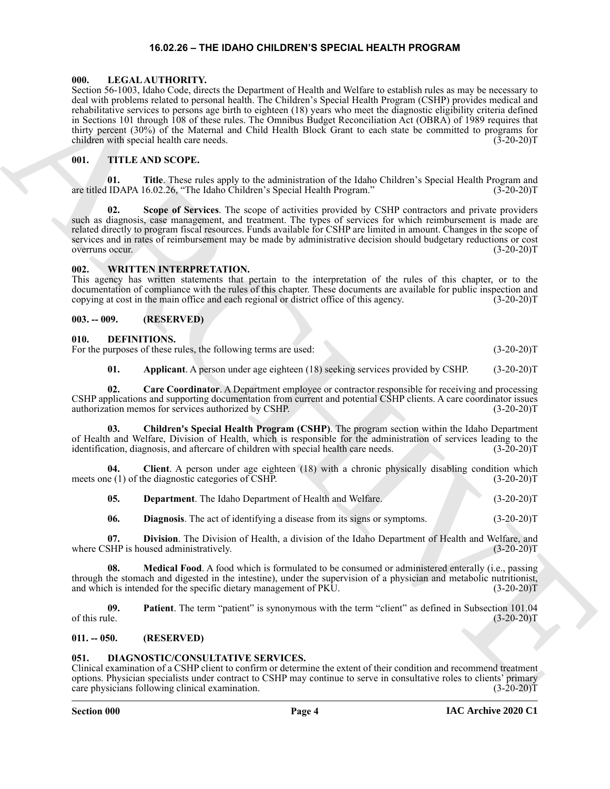### **16.02.26 – THE IDAHO CHILDREN'S SPECIAL HEALTH PROGRAM**

#### <span id="page-3-19"></span><span id="page-3-1"></span><span id="page-3-0"></span>**000. LEGAL AUTHORITY.**

Shareholds the percent state of the state of the state of the state of the state of the state of the state of the state of the state of the state of the state of the state of the state of the state of the state of the sta Section 56-1003, Idaho Code, directs the Department of Health and Welfare to establish rules as may be necessary to deal with problems related to personal health. The Children's Special Health Program (CSHP) provides medical and rehabilitative services to persons age birth to eighteen (18) years who meet the diagnostic eligibility criteria defined in Sections 101 through 108 of these rules. The Omnibus Budget Reconciliation Act (OBRA) of 1989 requires that thirty percent (30%) of the Maternal and Child Health Block Grant to each state be committed to programs for children with special health care needs. (3-20-20) children with special health care needs.

#### <span id="page-3-20"></span><span id="page-3-2"></span>**001. TITLE AND SCOPE.**

**01. Title**. These rules apply to the administration of the Idaho Children's Special Health Program and are titled IDAPA 16.02.26, "The Idaho Children's Special Health Program." (3-20-20)T

**Scope of Services**. The scope of activities provided by CSHP contractors and private providers such as diagnosis, case management, and treatment. The types of services for which reimbursement is made are related directly to program fiscal resources. Funds available for CSHP are limited in amount. Changes in the scope of services and in rates of reimbursement may be made by administrative decision should budgetary reductions or cost overruns occur. (3-20-20)T

#### <span id="page-3-21"></span><span id="page-3-3"></span>**002. WRITTEN INTERPRETATION.**

This agency has written statements that pertain to the interpretation of the rules of this chapter, or to the documentation of compliance with the rules of this chapter. These documents are available for public inspection and copying at cost in the main office and each regional or district office of this agency. (3-20-20)T

#### <span id="page-3-4"></span>**003. -- 009. (RESERVED)**

#### <span id="page-3-8"></span><span id="page-3-5"></span>**010. DEFINITIONS.**

For the purposes of these rules, the following terms are used: (3-20-20)T

<span id="page-3-11"></span><span id="page-3-10"></span><span id="page-3-9"></span>**01.** Applicant. A person under age eighteen (18) seeking services provided by CSHP. (3-20-20)T

**02. Care Coordinator**. A Department employee or contractor responsible for receiving and processing CSHP applications and supporting documentation from current and potential CSHP clients. A care coordinator issues authorization memos for services authorized by CSHP.

**03. Children's Special Health Program (CSHP)**. The program section within the Idaho Department of Health and Welfare, Division of Health, which is responsible for the administration of services leading to the identification, diagnosis, and aftercare of children with special health care needs. (3-20-20)T

**04. Client**. A person under age eighteen (18) with a chronic physically disabling condition which meets one (1) of the diagnostic categories of CSHP. (3-20-20)T

<span id="page-3-13"></span><span id="page-3-12"></span>**05. Department**. The Idaho Department of Health and Welfare. (3-20-20)T

<span id="page-3-16"></span><span id="page-3-15"></span><span id="page-3-14"></span>**06. Diagnosis**. The act of identifying a disease from its signs or symptoms. (3-20-20)T

**07. Division**. The Division of Health, a division of the Idaho Department of Health and Welfare, and where CSHP is housed administratively. (3-20-20)T

**08.** Medical Food. A food which is formulated to be consumed or administered enterally (i.e., passing through the stomach and digested in the intestine), under the supervision of a physician and metabolic nutritionist, and which is intended for the specific dietary management of PKU. (3-20-20)T

<span id="page-3-17"></span>**09.** Patient. The term "patient" is synonymous with the term "client" as defined in Subsection 101.04<br>(3-20-20) of this rule.  $(3-20-20)T$ 

#### <span id="page-3-6"></span>**011. -- 050. (RESERVED)**

<span id="page-3-18"></span><span id="page-3-7"></span>**051.** DIAGNOSTIC/CONSULTATIVE SERVICES.<br>Clinical examination of a CSHP client to confirm or determine the extent of their condition and recommend treatment Clinical examination of a CSHP client to confirm or determine the extent of their condition and recommend treatment options. Physician specialists under contract to CSHP may continue to serve in consultative roles to clients' primary care physicians following clinical examination. (3-20-20)T

#### **Section 000 Page 4**

**IAC Archive 2020 C1**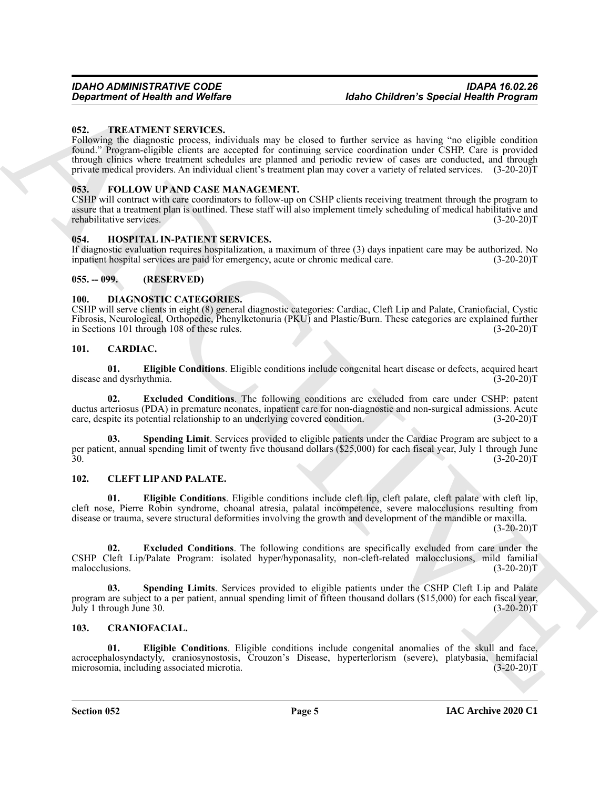#### <span id="page-4-21"></span><span id="page-4-0"></span>**052. TREATMENT SERVICES.**

Gegardment of Health was Welfare<br>
16 And Children's Special Health Weyl (18 And 2001)<br>
16 Care and the stationary of the stationary of the stationary of the stationary control of the stationary of<br>
Frame who distributed i Following the diagnostic process, individuals may be closed to further service as having "no eligible condition found." Program-eligible clients are accepted for continuing service coordination under CSHP. Care is provided through clinics where treatment schedules are planned and periodic review of cases are conducted, and through private medical providers. An individual client's treatment plan may cover a variety of related services. (3-20-20)T

#### <span id="page-4-19"></span><span id="page-4-1"></span>**053. FOLLOW UP AND CASE MANAGEMENT.**

CSHP will contract with care coordinators to follow-up on CSHP clients receiving treatment through the program to assure that a treatment plan is outlined. These staff will also implement timely scheduling of medical habilitative and rehabilitative services. (3-20-20)T

#### <span id="page-4-20"></span><span id="page-4-2"></span>**054. HOSPITAL IN-PATIENT SERVICES.**

If diagnostic evaluation requires hospitalization, a maximum of three (3) days inpatient care may be authorized. No inpatient hospital services are paid for emergency, acute or chronic medical care. (3-20-20)T

#### <span id="page-4-3"></span>**055. -- 099. (RESERVED)**

#### <span id="page-4-18"></span><span id="page-4-4"></span>**100. DIAGNOSTIC CATEGORIES.**

CSHP will serve clients in eight (8) general diagnostic categories: Cardiac, Cleft Lip and Palate, Craniofacial, Cystic Fibrosis, Neurological, Orthopedic, Phenylketonuria (PKU) and Plastic/Burn. These categories are explained further<br>in Sections 101 through 108 of these rules. (3-20-20) in Sections 101 through 108 of these rules.

#### <span id="page-4-8"></span><span id="page-4-5"></span>**101. CARDIAC.**

<span id="page-4-9"></span>**01. Eligible Conditions**. Eligible conditions include congenital heart disease or defects, acquired heart disease and dysrhythmia. (3-20-20)T

<span id="page-4-10"></span>**02. Excluded Conditions**. The following conditions are excluded from care under CSHP: patent ductus arteriosus (PDA) in premature neonates, inpatient care for non-diagnostic and non-surgical admissions. Acute care, despite its potential relationship to an underlying covered condition. (3-20-20) care, despite its potential relationship to an underlying covered condition.

<span id="page-4-11"></span>**03. Spending Limit**. Services provided to eligible patients under the Cardiac Program are subject to a per patient, annual spending limit of twenty five thousand dollars (\$25,000) for each fiscal year, July 1 through June (3-20-20)T  $30.$  (3-20-20)T

#### <span id="page-4-12"></span><span id="page-4-6"></span>**102. CLEFT LIP AND PALATE.**

<span id="page-4-13"></span>**01. Eligible Conditions**. Eligible conditions include cleft lip, cleft palate, cleft palate with cleft lip, cleft nose, Pierre Robin syndrome, choanal atresia, palatal incompetence, severe malocclusions resulting from disease or trauma, severe structural deformities involving the growth and development of the mandible or maxilla.  $(3-20-20)T$ 

<span id="page-4-14"></span>**02. Excluded Conditions**. The following conditions are specifically excluded from care under the CSHP Cleft Lip/Palate Program: isolated hyper/hyponasality, non-cleft-related malocclusions, mild familial malocclusions.

<span id="page-4-15"></span>**03. Spending Limits**. Services provided to eligible patients under the CSHP Cleft Lip and Palate program are subject to a per patient, annual spending limit of fifteen thousand dollars (\$15,000) for each fiscal year,<br>July 1 through June 30. (3-20-20)T  $July$  1 through June 30.

#### <span id="page-4-16"></span><span id="page-4-7"></span>**103. CRANIOFACIAL.**

<span id="page-4-17"></span>**01. Eligible Conditions**. Eligible conditions include congenital anomalies of the skull and face, acrocephalosyndactyly, craniosynostosis, Crouzon's Disease, hyperterlorism (severe), platybasia, hemifacial microsomia, including associated microtia.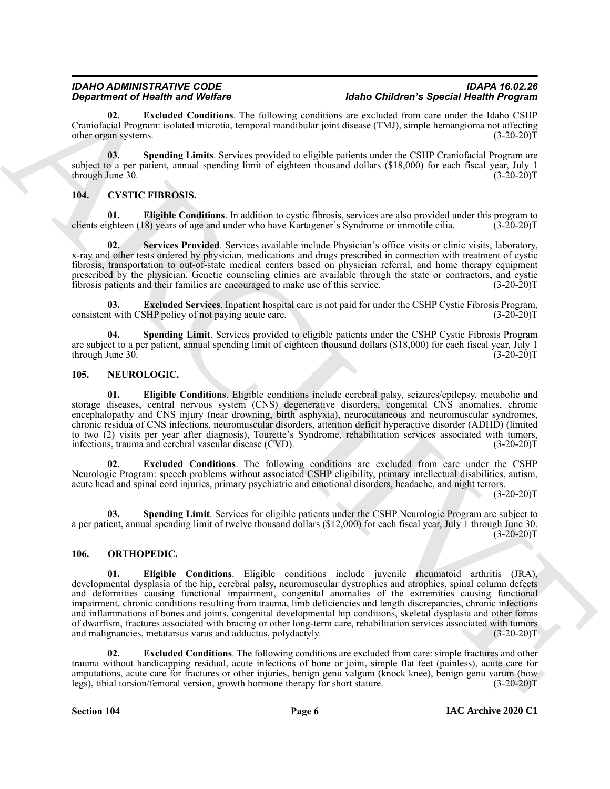<span id="page-5-3"></span>**02. Excluded Conditions**. The following conditions are excluded from care under the Idaho CSHP Craniofacial Program: isolated microtia, temporal mandibular joint disease (TMJ), simple hemangioma not affecting other organ systems. (3-20-20)T

<span id="page-5-4"></span>**03. Spending Limits**. Services provided to eligible patients under the CSHP Craniofacial Program are subject to a per patient, annual spending limit of eighteen thousand dollars (\$18,000) for each fiscal year, July 1 through June 30. (3-20-20) through June 30.

# <span id="page-5-5"></span><span id="page-5-0"></span>**104. CYSTIC FIBROSIS.**

<span id="page-5-6"></span>**01. Eligible Conditions**. In addition to cystic fibrosis, services are also provided under this program to clients eighteen (18) years of age and under who have Kartagener's Syndrome or immotile cilia. (3-20-20)T

<span id="page-5-8"></span>**02. Services Provided**. Services available include Physician's office visits or clinic visits, laboratory, x-ray and other tests ordered by physician, medications and drugs prescribed in connection with treatment of cystic fibrosis, transportation to out-of-state medical centers based on physician referral, and home therapy equipment prescribed by the physician. Genetic counseling clinics are available through the state or contractors, and cystic fibrosis patients and their families are encouraged to make use of this service. (3-20-20)T

<span id="page-5-7"></span>**03. Excluded Services**. Inpatient hospital care is not paid for under the CSHP Cystic Fibrosis Program, consistent with CSHP policy of not paying acute care. (3-20-20)T

<span id="page-5-9"></span>**04. Spending Limit**. Services provided to eligible patients under the CSHP Cystic Fibrosis Program are subject to a per patient, annual spending limit of eighteen thousand dollars (\$18,000) for each fiscal year, July 1 through June 30. (3-20-20) through June  $30$ .

#### <span id="page-5-10"></span><span id="page-5-1"></span>**105. NEUROLOGIC.**

<span id="page-5-11"></span>**01. Eligible Conditions**. Eligible conditions include cerebral palsy, seizures/epilepsy, metabolic and storage diseases, central nervous system (CNS) degenerative disorders, congenital CNS anomalies, chronic encephalopathy and CNS injury (near drowning, birth asphyxia), neurocutaneous and neuromuscular syndromes, chronic residua of CNS infections, neuromuscular disorders, attention deficit hyperactive disorder (ADHD) (limited to two (2) visits per year after diagnosis), Tourette's Syndrome, rehabilitation services associated with tumors, infections, trauma and cerebral vascular disease (CVD). (3-20-20) infections, trauma and cerebral vascular disease  $(CVD)$ .

<span id="page-5-12"></span>**02. Excluded Conditions**. The following conditions are excluded from care under the CSHP Neurologic Program: speech problems without associated CSHP eligibility, primary intellectual disabilities, autism, acute head and spinal cord injuries, primary psychiatric and emotional disorders, headache, and night terrors.

 $(3-20-20)T$ 

<span id="page-5-13"></span>**03. Spending Limit**. Services for eligible patients under the CSHP Neurologic Program are subject to a per patient, annual spending limit of twelve thousand dollars (\$12,000) for each fiscal year, July 1 through June 30.  $(3-20-20)$ T

### <span id="page-5-15"></span><span id="page-5-14"></span><span id="page-5-2"></span>**106. ORTHOPEDIC.**

*Great friedriches Christian Construering Christian Section 1966 Christian Section 24 (A)* $\frac{1}{2}$  **(A)**  $\frac{1}{2}$  **(A)**  $\frac{1}{2}$  **(A)**  $\frac{1}{2}$  **(A)**  $\frac{1}{2}$  **(A)**  $\frac{1}{2}$  **(A)**  $\frac{1}{2}$  **(A)**  $\frac{1}{2}$  **(A)**  $\frac{1}{2}$  **(A) \frac 01. Eligible Conditions**. Eligible conditions include juvenile rheumatoid arthritis (JRA), developmental dysplasia of the hip, cerebral palsy, neuromuscular dystrophies and atrophies, spinal column defects and deformities causing functional impairment, congenital anomalies of the extremities causing functional impairment, chronic conditions resulting from trauma, limb deficiencies and length discrepancies, chronic infections and inflammations of bones and joints, congenital developmental hip conditions, skeletal dysplasia and other forms of dwarfism, fractures associated with bracing or other long-term care, rehabilitation services associated with tumors and malignancies, metatarsus varus and adductus, polydactyly. (3-20-20)T

<span id="page-5-16"></span>**02. Excluded Conditions**. The following conditions are excluded from care: simple fractures and other trauma without handicapping residual, acute infections of bone or joint, simple flat feet (painless), acute care for amputations, acute care for fractures or other injuries, benign genu valgum (knock knee), benign genu varum (bow<br>legs), tibial torsion/femoral version, growth hormone therapy for short stature. (3-20-20)T legs), tibial torsion/femoral version, growth hormone therapy for short stature.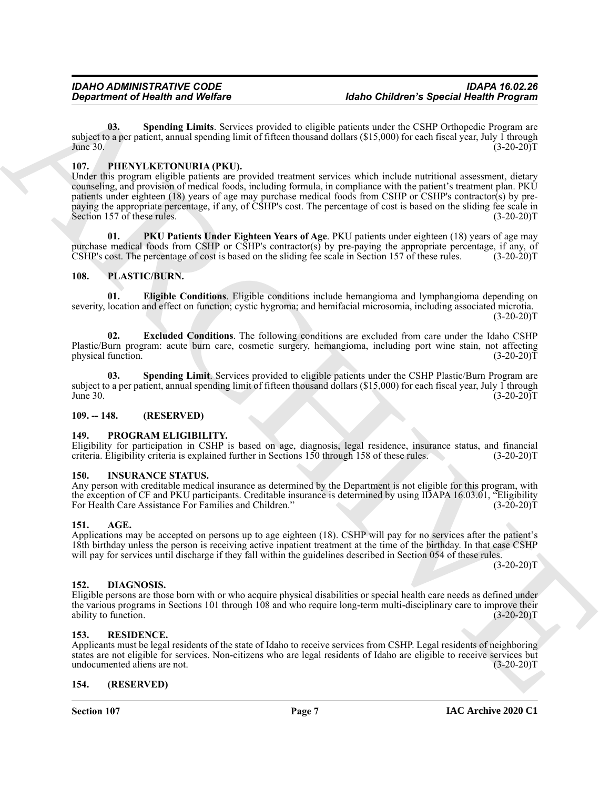<span id="page-6-12"></span>**03. Spending Limits**. Services provided to eligible patients under the CSHP Orthopedic Program are subject to a per patient, annual spending limit of fifteen thousand dollars (\$15,000) for each fiscal year, July 1 through June 30.  $(3-20-20)T$ 

### <span id="page-6-13"></span><span id="page-6-0"></span>**107. PHENYLKETONURIA (PKU).**

**Equation of Health was Welfare**<br> **Also Collident's Special Health Property and Collident's Special Health Collident's Special Health Property and<br>**  $\frac{1}{2}$  **MESS TRUE COLLIDENT Transformation of the special Health Collid** Under this program eligible patients are provided treatment services which include nutritional assessment, dietary counseling, and provision of medical foods, including formula, in compliance with the patient's treatment plan. PKU patients under eighteen (18) years of age may purchase medical foods from CSHP or CSHP's contractor(s) by prepaying the appropriate percentage, if any, of CSHP's cost. The percentage of cost is based on the sliding fee scale in Section 157 of these rules. (3-20-20)T

<span id="page-6-14"></span>**01. PKU Patients Under Eighteen Years of Age**. PKU patients under eighteen (18) years of age may purchase medical foods from CSHP or CSHP's contractor(s) by pre-paying the appropriate percentage, if any, of CSHP's cost. The percentage of cost is based on the sliding fee scale in Section 157 of these rules. (3-20-20)T CSHP's cost. The percentage of cost is based on the sliding fee scale in Section 157 of these rules.

### <span id="page-6-16"></span><span id="page-6-15"></span><span id="page-6-1"></span>**108. PLASTIC/BURN.**

**01. Eligible Conditions**. Eligible conditions include hemangioma and lymphangioma depending on severity, location and effect on function; cystic hygroma; and hemifacial microsomia, including associated microtia.  $(3-20-20)T$ 

<span id="page-6-17"></span>**02. Excluded Conditions**. The following conditions are excluded from care under the Idaho CSHP Plastic/Burn program: acute burn care, cosmetic surgery, hemangioma, including port wine stain, not affecting physical function. (3-20-20)T

<span id="page-6-18"></span>**03. Spending Limit**. Services provided to eligible patients under the CSHP Plastic/Burn Program are subject to a per patient, annual spending limit of fifteen thousand dollars (\$15,000) for each fiscal year, July 1 through June 30. (3-20-20)T  $\mu$  June 30. (3-20-20)T

#### <span id="page-6-2"></span>**109. -- 148. (RESERVED)**

#### <span id="page-6-19"></span><span id="page-6-3"></span>**149. PROGRAM ELIGIBILITY.**

Eligibility for participation in CSHP is based on age, diagnosis, legal residence, insurance status, and financial criteria. Eligibility criteria is explained further in Sections 150 through 158 of these rules. (3-20-20)T criteria. Eligibility criteria is explained further in Sections 150 through 158 of these rules.

#### <span id="page-6-11"></span><span id="page-6-4"></span>**150. INSURANCE STATUS.**

Any person with creditable medical insurance as determined by the Department is not eligible for this program, with the exception of CF and PKU participants. Creditable insurance is determined by using IDAPA 16.03.01, "Eligibility For Health Care Assistance For Families and Children." (3-20-20)T

#### <span id="page-6-9"></span><span id="page-6-5"></span>**151. AGE.**

Applications may be accepted on persons up to age eighteen (18). CSHP will pay for no services after the patient's 18th birthday unless the person is receiving active inpatient treatment at the time of the birthday. In that case CSHP will pay for services until discharge if they fall within the guidelines described in Section 054 of these rules.

 $(3-20-20)T$ 

#### <span id="page-6-10"></span><span id="page-6-6"></span>**152. DIAGNOSIS.**

Eligible persons are those born with or who acquire physical disabilities or special health care needs as defined under the various programs in Sections 101 through 108 and who require long-term multi-disciplinary care to improve their ability to function. (3-20-20)T

#### <span id="page-6-20"></span><span id="page-6-7"></span>**153. RESIDENCE.**

Applicants must be legal residents of the state of Idaho to receive services from CSHP. Legal residents of neighboring states are not eligible for services. Non-citizens who are legal residents of Idaho are eligible to receive services but undocumented aliens are not. (3-20-20)T

### <span id="page-6-8"></span>**154. (RESERVED)**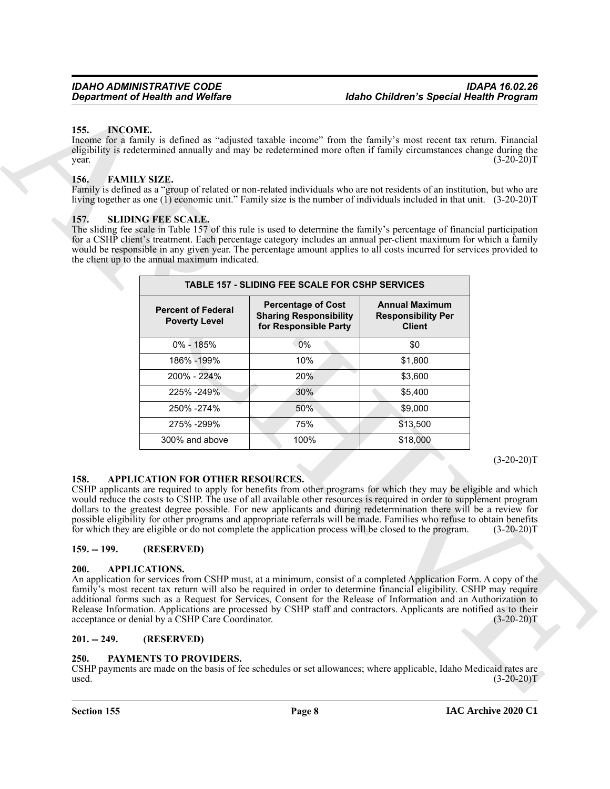#### <span id="page-7-11"></span><span id="page-7-0"></span>**155. INCOME.**

#### <span id="page-7-10"></span><span id="page-7-1"></span>**156. FAMILY SIZE.**

#### <span id="page-7-13"></span><span id="page-7-2"></span>**157. SLIDING FEE SCALE.**

|                                                                        | <b>Department of Health and Welfare</b>                                     |                                                                                                                                                                                                                                                                                                                                                                                                                                                                                                                                                                                                                                                                                                                                                                                                                                                                  | <b>Idaho Children's Special Health Program</b>                      |              |
|------------------------------------------------------------------------|-----------------------------------------------------------------------------|------------------------------------------------------------------------------------------------------------------------------------------------------------------------------------------------------------------------------------------------------------------------------------------------------------------------------------------------------------------------------------------------------------------------------------------------------------------------------------------------------------------------------------------------------------------------------------------------------------------------------------------------------------------------------------------------------------------------------------------------------------------------------------------------------------------------------------------------------------------|---------------------------------------------------------------------|--------------|
| <b>INCOME.</b><br>155.<br>year.<br><b>FAMILY SIZE.</b><br>156.<br>157. | <b>SLIDING FEE SCALE.</b><br>the client up to the annual maximum indicated. | Income for a family is defined as "adjusted taxable income" from the family's most recent tax return. Financial<br>eligibility is redetermined annually and may be redetermined more often if family circumstances change during the<br>Family is defined as a "group of related or non-related individuals who are not residents of an institution, but who are<br>living together as one (1) economic unit." Family size is the number of individuals included in that unit. (3-20-20)T<br>The sliding fee scale in Table 157 of this rule is used to determine the family's percentage of financial participation<br>for a CSHP client's treatment. Each percentage category includes an annual per-client maximum for which a family<br>would be responsible in any given year. The percentage amount applies to all costs incurred for services provided to |                                                                     | $(3-20-20)T$ |
|                                                                        |                                                                             | <b>TABLE 157 - SLIDING FEE SCALE FOR CSHP SERVICES</b>                                                                                                                                                                                                                                                                                                                                                                                                                                                                                                                                                                                                                                                                                                                                                                                                           |                                                                     |              |
|                                                                        | <b>Percent of Federal</b><br><b>Poverty Level</b>                           | <b>Percentage of Cost</b><br><b>Sharing Responsibility</b><br>for Responsible Party                                                                                                                                                                                                                                                                                                                                                                                                                                                                                                                                                                                                                                                                                                                                                                              | <b>Annual Maximum</b><br><b>Responsibility Per</b><br><b>Client</b> |              |
|                                                                        | 0% - 185%                                                                   | 0%                                                                                                                                                                                                                                                                                                                                                                                                                                                                                                                                                                                                                                                                                                                                                                                                                                                               | \$0                                                                 |              |
|                                                                        | 186% - 199%                                                                 | 10%                                                                                                                                                                                                                                                                                                                                                                                                                                                                                                                                                                                                                                                                                                                                                                                                                                                              | \$1,800                                                             |              |
|                                                                        | 200% - 224%                                                                 | 20%                                                                                                                                                                                                                                                                                                                                                                                                                                                                                                                                                                                                                                                                                                                                                                                                                                                              | \$3,600                                                             |              |
|                                                                        | 225% - 249%                                                                 | 30%                                                                                                                                                                                                                                                                                                                                                                                                                                                                                                                                                                                                                                                                                                                                                                                                                                                              | \$5,400                                                             |              |
|                                                                        | 250% - 274%                                                                 | 50%                                                                                                                                                                                                                                                                                                                                                                                                                                                                                                                                                                                                                                                                                                                                                                                                                                                              | \$9,000                                                             |              |
|                                                                        | 275% - 299%                                                                 | 75%                                                                                                                                                                                                                                                                                                                                                                                                                                                                                                                                                                                                                                                                                                                                                                                                                                                              | \$13,500                                                            |              |
|                                                                        | 300% and above                                                              | 100%                                                                                                                                                                                                                                                                                                                                                                                                                                                                                                                                                                                                                                                                                                                                                                                                                                                             | \$18,000                                                            |              |
| 158.<br>$159. - 199.$                                                  | APPLICATION FOR OTHER RESOURCES.<br>(RESERVED)                              | CSHP applicants are required to apply for benefits from other programs for which they may be eligible and which<br>would reduce the costs to CSHP. The use of all available other resources is required in order to supplement program<br>dollars to the greatest degree possible. For new applicants and during redetermination there will be a review for<br>possible eligibility for other programs and appropriate referrals will be made. Families who refuse to obtain benefits<br>for which they are eligible or do not complete the application process will be closed to the program.                                                                                                                                                                                                                                                                   |                                                                     | $(3-20-20)T$ |
| 200.                                                                   | <b>APPLICATIONS.</b>                                                        |                                                                                                                                                                                                                                                                                                                                                                                                                                                                                                                                                                                                                                                                                                                                                                                                                                                                  |                                                                     |              |
|                                                                        | acceptance or denial by a CSHP Care Coordinator.                            | An application for services from CSHP must, at a minimum, consist of a completed Application Form. A copy of the<br>family's most recent tax return will also be required in order to determine financial eligibility. CSHP may require<br>additional forms such as a Request for Services, Consent for the Release of Information and an Authorization to<br>Release Information. Applications are processed by CSHP staff and contractors. Applicants are notified as to their                                                                                                                                                                                                                                                                                                                                                                                 |                                                                     | $(3-20-20)T$ |
| $201. - 249.$                                                          | (RESERVED)                                                                  |                                                                                                                                                                                                                                                                                                                                                                                                                                                                                                                                                                                                                                                                                                                                                                                                                                                                  |                                                                     |              |
| 250.<br>used.                                                          | PAYMENTS TO PROVIDERS.                                                      | CSHP payments are made on the basis of fee schedules or set allowances; where applicable, Idaho Medicaid rates are                                                                                                                                                                                                                                                                                                                                                                                                                                                                                                                                                                                                                                                                                                                                               |                                                                     | $(3-20-20)T$ |

### <span id="page-7-8"></span><span id="page-7-3"></span>**158. APPLICATION FOR OTHER RESOURCES.**

### <span id="page-7-9"></span><span id="page-7-4"></span>**159. -- 199. (RESERVED)**

#### <span id="page-7-5"></span>**200. APPLICATIONS.**

#### <span id="page-7-6"></span>**201. -- 249. (RESERVED)**

#### <span id="page-7-12"></span><span id="page-7-7"></span>**250. PAYMENTS TO PROVIDERS.**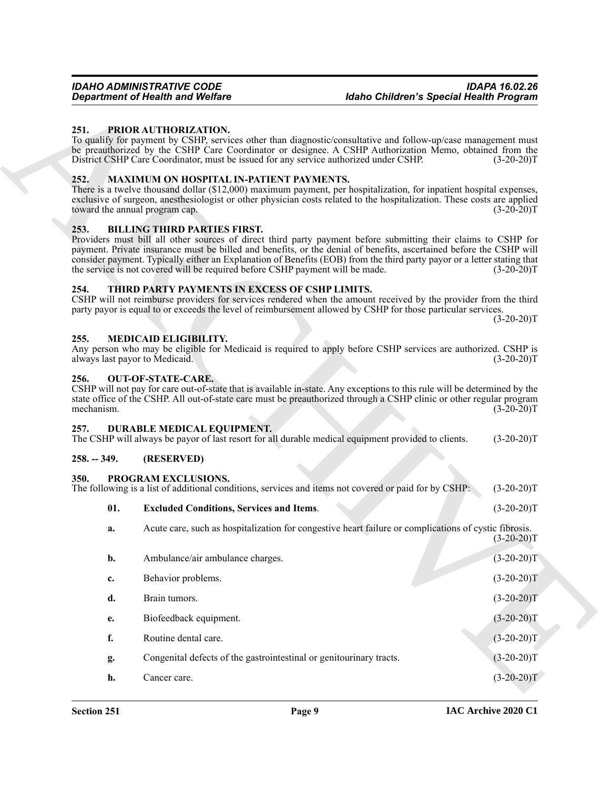### <span id="page-8-14"></span><span id="page-8-11"></span><span id="page-8-1"></span><span id="page-8-0"></span>**252. MAXIMUM ON HOSPITAL IN-PATIENT PAYMENTS.**

#### <span id="page-8-9"></span><span id="page-8-2"></span>**253. BILLING THIRD PARTIES FIRST.**

#### <span id="page-8-17"></span><span id="page-8-3"></span>**254. THIRD PARTY PAYMENTS IN EXCESS OF CSHP LIMITS.**

#### <span id="page-8-12"></span><span id="page-8-4"></span>**255. MEDICAID ELIGIBILITY.**

# Any person who may be eligible for Medicaid is required to apply before CSHP services are authorized. CSHP is always last payor to Medicaid. (3-20-20)T

#### <span id="page-8-13"></span><span id="page-8-5"></span>**256. OUT-OF-STATE-CARE.**

#### <span id="page-8-10"></span><span id="page-8-6"></span>**257. DURABLE MEDICAL EQUIPMENT.**

<span id="page-8-16"></span><span id="page-8-15"></span><span id="page-8-8"></span><span id="page-8-7"></span>

|               |            | The CSHP will always be payor of last resort for all durable medical equipment provided to clients. | $(3-20-20)T$ |
|---------------|------------|-----------------------------------------------------------------------------------------------------|--------------|
| $258. - 349.$ | (RESERVED) |                                                                                                     |              |

|                    | <b>Department of Health and Welfare</b>                                                                              | <b>Idaho Children's Special Health Program</b>                                                                                                                                                                                                                                                                                                                   |              |
|--------------------|----------------------------------------------------------------------------------------------------------------------|------------------------------------------------------------------------------------------------------------------------------------------------------------------------------------------------------------------------------------------------------------------------------------------------------------------------------------------------------------------|--------------|
| 251.               | PRIOR AUTHORIZATION.<br>District CSHP Care Coordinator, must be issued for any service authorized under CSHP.        | To qualify for payment by CSHP, services other than diagnostic/consultative and follow-up/case management must<br>be preauthorized by the CSHP Care Coordinator or designee. A CSHP Authorization Memo, obtained from the                                                                                                                                        | $(3-20-20)T$ |
| 252.               | MAXIMUM ON HOSPITAL IN-PATIENT PAYMENTS.<br>toward the annual program cap.                                           | There is a twelve thousand dollar (\$12,000) maximum payment, per hospitalization, for inpatient hospital expenses,<br>exclusive of surgeon, anesthesiologist or other physician costs related to the hospitalization. These costs are applied                                                                                                                   | $(3-20-20)T$ |
| 253.               | <b>BILLING THIRD PARTIES FIRST.</b><br>the service is not covered will be required before CSHP payment will be made. | Providers must bill all other sources of direct third party payment before submitting their claims to CSHP for<br>payment. Private insurance must be billed and benefits, or the denial of benefits, ascertained before the CSHP will<br>consider payment. Typically either an Explanation of Benefits (EOB) from the third party payor or a letter stating that | $(3-20-20)T$ |
| 254.               | THIRD PARTY PAYMENTS IN EXCESS OF CSHP LIMITS.                                                                       | CSHP will not reimburse providers for services rendered when the amount received by the provider from the third<br>party payor is equal to or exceeds the level of reimbursement allowed by CSHP for those particular services.                                                                                                                                  | $(3-20-20)T$ |
| 255.               | MEDICAID ELIGIBILITY.<br>always last payor to Medicaid.                                                              | Any person who may be eligible for Medicaid is required to apply before CSHP services are authorized. CSHP is                                                                                                                                                                                                                                                    | $(3-20-20)T$ |
| 256.<br>mechanism. | <b>OUT-OF-STATE-CARE.</b>                                                                                            | CSHP will not pay for care out-of-state that is available in-state. Any exceptions to this rule will be determined by the<br>state office of the CSHP. All out-of-state care must be preauthorized through a CSHP clinic or other regular program                                                                                                                | $(3-20-20)T$ |
| 257.               | DURABLE MEDICAL EQUIPMENT.                                                                                           | The CSHP will always be payor of last resort for all durable medical equipment provided to clients.                                                                                                                                                                                                                                                              | $(3-20-20)T$ |
| $258. - 349.$      | (RESERVED)                                                                                                           |                                                                                                                                                                                                                                                                                                                                                                  |              |
| 350.               | PROGRAM EXCLUSIONS.                                                                                                  | The following is a list of additional conditions, services and items not covered or paid for by CSHP:                                                                                                                                                                                                                                                            | $(3-20-20)T$ |
| 01.                | <b>Excluded Conditions, Services and Items.</b>                                                                      |                                                                                                                                                                                                                                                                                                                                                                  | $(3-20-20)T$ |
| a.                 |                                                                                                                      | Acute care, such as hospitalization for congestive heart failure or complications of cystic fibrosis.                                                                                                                                                                                                                                                            | $(3-20-20)T$ |
| b.                 | Ambulance/air ambulance charges.                                                                                     |                                                                                                                                                                                                                                                                                                                                                                  | $(3-20-20)T$ |
| c.                 | Behavior problems.                                                                                                   |                                                                                                                                                                                                                                                                                                                                                                  | $(3-20-20)T$ |
| d.                 | Brain tumors.                                                                                                        |                                                                                                                                                                                                                                                                                                                                                                  | $(3-20-20)T$ |
| e.                 | Biofeedback equipment.                                                                                               |                                                                                                                                                                                                                                                                                                                                                                  | $(3-20-20)T$ |
| f.                 | Routine dental care.                                                                                                 |                                                                                                                                                                                                                                                                                                                                                                  | $(3-20-20)T$ |
|                    | Congenital defects of the gastrointestinal or genitourinary tracts.                                                  |                                                                                                                                                                                                                                                                                                                                                                  | $(3-20-20)T$ |
| g.                 |                                                                                                                      |                                                                                                                                                                                                                                                                                                                                                                  |              |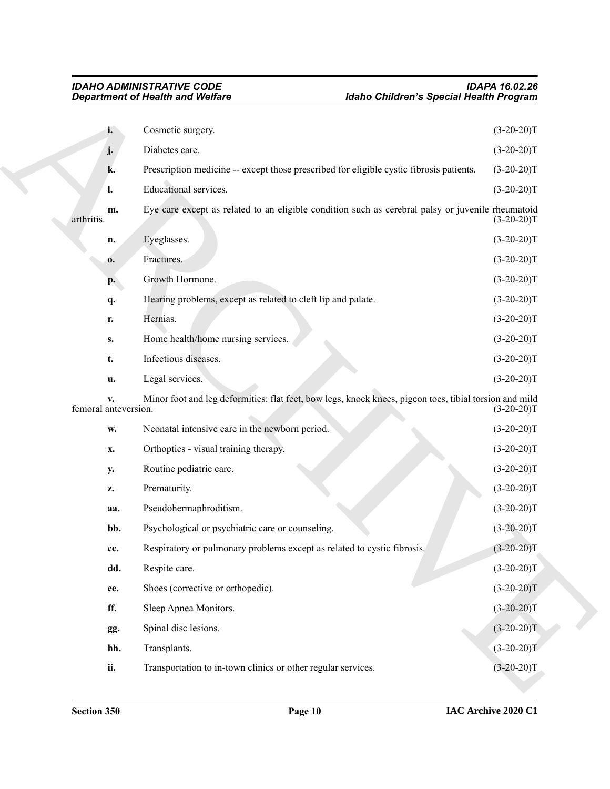|                            | <b>Department of Health and Welfare</b>                                                                | <b>Idaho Children's Special Health Program</b> |  |
|----------------------------|--------------------------------------------------------------------------------------------------------|------------------------------------------------|--|
| i.                         | Cosmetic surgery.                                                                                      | $(3-20-20)T$                                   |  |
| j.                         | Diabetes care.                                                                                         | $(3-20-20)T$                                   |  |
| k.                         | Prescription medicine -- except those prescribed for eligible cystic fibrosis patients.                | $(3-20-20)T$                                   |  |
| l.                         | Educational services.                                                                                  | $(3-20-20)T$                                   |  |
| m.<br>arthritis.           | Eye care except as related to an eligible condition such as cerebral palsy or juvenile rheumatoid      | $(3-20-20)T$                                   |  |
| n.                         | Eyeglasses.                                                                                            | $(3-20-20)T$                                   |  |
| $\mathbf{0}$ .             | Fractures.                                                                                             | $(3-20-20)T$                                   |  |
| p.                         | Growth Hormone.                                                                                        | $(3-20-20)T$                                   |  |
| q.                         | Hearing problems, except as related to cleft lip and palate.                                           | $(3-20-20)T$                                   |  |
| r.                         | Hernias.                                                                                               | $(3-20-20)T$                                   |  |
| $S_{\bullet}$              | Home health/home nursing services.                                                                     | $(3-20-20)T$                                   |  |
| t.                         | Infectious diseases.                                                                                   | $(3-20-20)T$                                   |  |
| u.                         | Legal services.                                                                                        | $(3-20-20)T$                                   |  |
| v.<br>femoral anteversion. | Minor foot and leg deformities: flat feet, bow legs, knock knees, pigeon toes, tibial torsion and mild | $(3-20-20)T$                                   |  |
| W.                         | Neonatal intensive care in the newborn period.                                                         | $(3-20-20)T$                                   |  |
| x.                         | Orthoptics - visual training therapy.                                                                  | $(3-20-20)T$                                   |  |
| <b>y.</b>                  | Routine pediatric care.                                                                                | $(3-20-20)T$                                   |  |
| Z.                         | Prematurity.                                                                                           | $(3-20-20)T$                                   |  |
| aa.                        | Pseudohermaphroditism.                                                                                 | $(3-20-20)T$                                   |  |
| bb.                        | Psychological or psychiatric care or counseling.                                                       | $(3-20-20)T$                                   |  |
| cc.                        | Respiratory or pulmonary problems except as related to cystic fibrosis.                                | $(3-20-20)T$                                   |  |
| dd.                        | Respite care.                                                                                          | $(3-20-20)T$                                   |  |
| ee.                        | Shoes (corrective or orthopedic).                                                                      | $(3-20-20)T$                                   |  |
| ff.                        | Sleep Apnea Monitors.                                                                                  | $(3-20-20)T$                                   |  |
| gg.                        | Spinal disc lesions.                                                                                   | $(3-20-20)T$                                   |  |
| hh.                        | Transplants.                                                                                           | $(3-20-20)T$                                   |  |
| ii.                        | Transportation to in-town clinics or other regular services.                                           | $(3-20-20)T$                                   |  |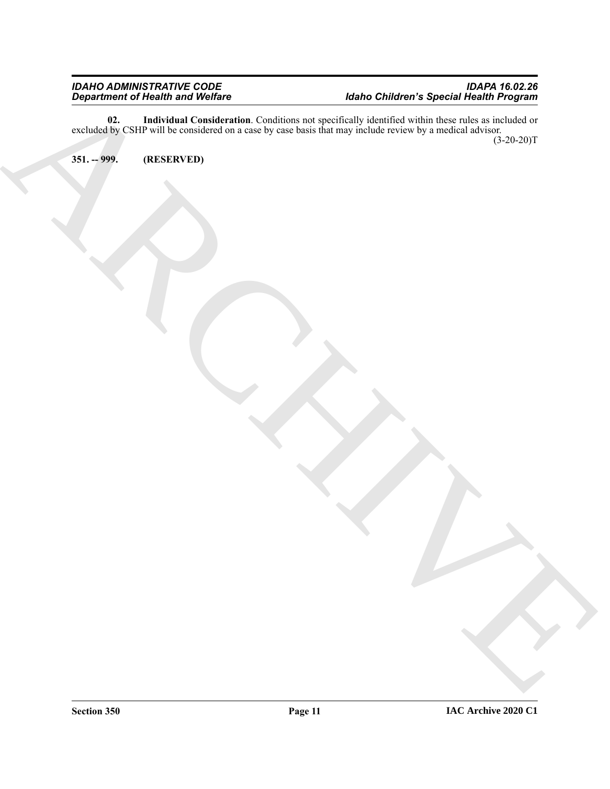Department of Historic Holiday, and the Company of Company of Contact Construction of Special Health Program<br>excluding Constraints on the Company of Company of Land Construction of the Construction of the Construction<br>ARCH **02. Individual Consideration**. Conditions not specifically identified within these rules as included or excluded by CSHP will be considered on a case by case basis that may include review by a medical advisor. (3-20-20)T

<span id="page-10-1"></span><span id="page-10-0"></span>**351. -- 999. (RESERVED)**